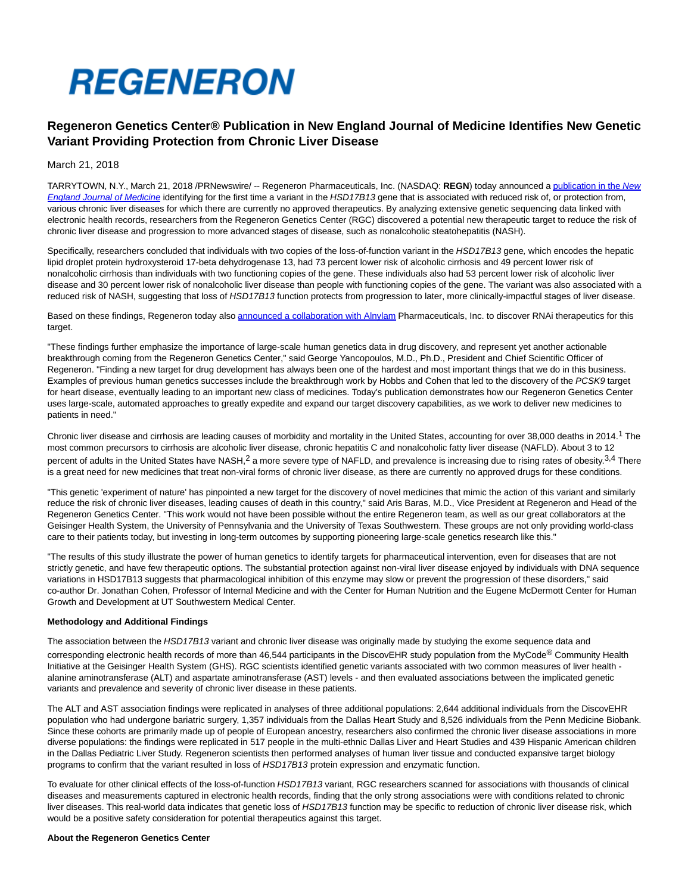

# **Regeneron Genetics Center® Publication in New England Journal of Medicine Identifies New Genetic Variant Providing Protection from Chronic Liver Disease**

March 21, 2018

TARRYTOWN, N.Y., March 21, 2018 /PRNewswire/ -- Regeneron Pharmaceuticals, Inc. (NASDAQ: **REGN**) today announced [a publication in the](http://www.nejm.org/doi/full/10.1056/NEJMoa1712191) New England Journal of Medicine identifying for the first time a variant in the HSD17B13 gene that is associated with reduced risk of, or protection from, various chronic liver diseases for which there are currently no approved therapeutics. By analyzing extensive genetic sequencing data linked with electronic health records, researchers from the Regeneron Genetics Center (RGC) discovered a potential new therapeutic target to reduce the risk of chronic liver disease and progression to more advanced stages of disease, such as nonalcoholic steatohepatitis (NASH).

Specifically, researchers concluded that individuals with two copies of the loss-of-function variant in the HSD17B13 gene, which encodes the hepatic lipid droplet protein hydroxysteroid 17-beta dehydrogenase 13, had 73 percent lower risk of alcoholic cirrhosis and 49 percent lower risk of nonalcoholic cirrhosis than individuals with two functioning copies of the gene. These individuals also had 53 percent lower risk of alcoholic liver disease and 30 percent lower risk of nonalcoholic liver disease than people with functioning copies of the gene. The variant was also associated with a reduced risk of NASH, suggesting that loss of HSD17B13 function protects from progression to later, more clinically-impactful stages of liver disease.

Based on these findings, Regeneron today also [announced a collaboration with Alnylam](http://newsroom.regeneron.com/releases.cfm) Pharmaceuticals, Inc. to discover RNAi therapeutics for this target.

"These findings further emphasize the importance of large-scale human genetics data in drug discovery, and represent yet another actionable breakthrough coming from the Regeneron Genetics Center," said George Yancopoulos, M.D., Ph.D., President and Chief Scientific Officer of Regeneron. "Finding a new target for drug development has always been one of the hardest and most important things that we do in this business. Examples of previous human genetics successes include the breakthrough work by Hobbs and Cohen that led to the discovery of the PCSK9 target for heart disease, eventually leading to an important new class of medicines. Today's publication demonstrates how our Regeneron Genetics Center uses large-scale, automated approaches to greatly expedite and expand our target discovery capabilities, as we work to deliver new medicines to patients in need."

Chronic liver disease and cirrhosis are leading causes of morbidity and mortality in the United States, accounting for over 38,000 deaths in 2014.<sup>1</sup> The most common precursors to cirrhosis are alcoholic liver disease, chronic hepatitis C and nonalcoholic fatty liver disease (NAFLD). About 3 to 12 percent of adults in the United States have NASH, $^2$  a more severe type of NAFLD, and prevalence is increasing due to rising rates of obesity.<sup>3,4</sup> There is a great need for new medicines that treat non-viral forms of chronic liver disease, as there are currently no approved drugs for these conditions.

"This genetic 'experiment of nature' has pinpointed a new target for the discovery of novel medicines that mimic the action of this variant and similarly reduce the risk of chronic liver diseases, leading causes of death in this country," said Aris Baras, M.D., Vice President at Regeneron and Head of the Regeneron Genetics Center. "This work would not have been possible without the entire Regeneron team, as well as our great collaborators at the Geisinger Health System, the University of Pennsylvania and the University of Texas Southwestern. These groups are not only providing world-class care to their patients today, but investing in long-term outcomes by supporting pioneering large-scale genetics research like this."

"The results of this study illustrate the power of human genetics to identify targets for pharmaceutical intervention, even for diseases that are not strictly genetic, and have few therapeutic options. The substantial protection against non-viral liver disease enjoyed by individuals with DNA sequence variations in HSD17B13 suggests that pharmacological inhibition of this enzyme may slow or prevent the progression of these disorders," said co-author Dr. Jonathan Cohen, Professor of Internal Medicine and with the Center for Human Nutrition and the Eugene McDermott Center for Human Growth and Development at UT Southwestern Medical Center.

## **Methodology and Additional Findings**

The association between the HSD17B13 variant and chronic liver disease was originally made by studying the exome sequence data and corresponding electronic health records of more than 46,544 participants in the DiscovEHR study population from the MyCode<sup>®</sup> Community Health Initiative at the Geisinger Health System (GHS). RGC scientists identified genetic variants associated with two common measures of liver health alanine aminotransferase (ALT) and aspartate aminotransferase (AST) levels - and then evaluated associations between the implicated genetic variants and prevalence and severity of chronic liver disease in these patients.

The ALT and AST association findings were replicated in analyses of three additional populations: 2,644 additional individuals from the DiscovEHR population who had undergone bariatric surgery, 1,357 individuals from the Dallas Heart Study and 8,526 individuals from the Penn Medicine Biobank. Since these cohorts are primarily made up of people of European ancestry, researchers also confirmed the chronic liver disease associations in more diverse populations: the findings were replicated in 517 people in the multi-ethnic Dallas Liver and Heart Studies and 439 Hispanic American children in the Dallas Pediatric Liver Study. Regeneron scientists then performed analyses of human liver tissue and conducted expansive target biology programs to confirm that the variant resulted in loss of HSD17B13 protein expression and enzymatic function.

To evaluate for other clinical effects of the loss-of-function HSD17B13 variant, RGC researchers scanned for associations with thousands of clinical diseases and measurements captured in electronic health records, finding that the only strong associations were with conditions related to chronic liver diseases. This real-world data indicates that genetic loss of HSD17B13 function may be specific to reduction of chronic liver disease risk, which would be a positive safety consideration for potential therapeutics against this target.

#### **About the Regeneron Genetics Center**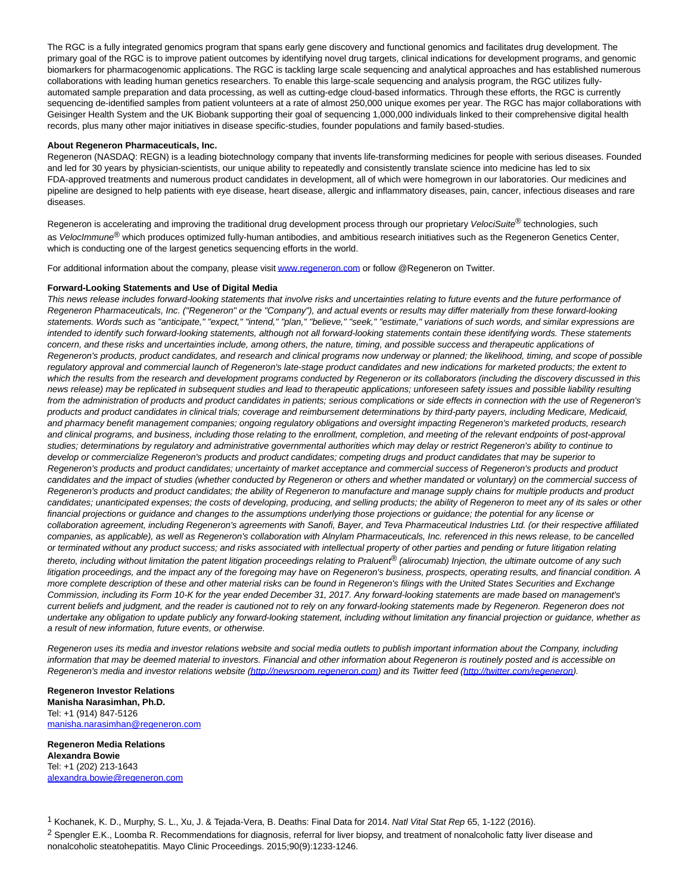The RGC is a fully integrated genomics program that spans early gene discovery and functional genomics and facilitates drug development. The primary goal of the RGC is to improve patient outcomes by identifying novel drug targets, clinical indications for development programs, and genomic biomarkers for pharmacogenomic applications. The RGC is tackling large scale sequencing and analytical approaches and has established numerous collaborations with leading human genetics researchers. To enable this large-scale sequencing and analysis program, the RGC utilizes fullyautomated sample preparation and data processing, as well as cutting-edge cloud-based informatics. Through these efforts, the RGC is currently sequencing de-identified samples from patient volunteers at a rate of almost 250,000 unique exomes per year. The RGC has major collaborations with Geisinger Health System and the UK Biobank supporting their goal of sequencing 1,000,000 individuals linked to their comprehensive digital health records, plus many other major initiatives in disease specific-studies, founder populations and family based-studies.

#### **About Regeneron Pharmaceuticals, Inc.**

Regeneron (NASDAQ: REGN) is a leading biotechnology company that invents life-transforming medicines for people with serious diseases. Founded and led for 30 years by physician-scientists, our unique ability to repeatedly and consistently translate science into medicine has led to six FDA-approved treatments and numerous product candidates in development, all of which were homegrown in our laboratories. Our medicines and pipeline are designed to help patients with eye disease, heart disease, allergic and inflammatory diseases, pain, cancer, infectious diseases and rare diseases.

Regeneron is accelerating and improving the traditional drug development process through our proprietary VelociSuite® technologies, such as VelocImmune<sup>®</sup> which produces optimized fully-human antibodies, and ambitious research initiatives such as the Regeneron Genetics Center, which is conducting one of the largest genetics sequencing efforts in the world.

For additional information about the company, please visi[t www.regeneron.com o](http://www.regeneron.com/)r follow @Regeneron on Twitter.

#### **Forward-Looking Statements and Use of Digital Media**

This news release includes forward-looking statements that involve risks and uncertainties relating to future events and the future performance of Regeneron Pharmaceuticals, Inc. ("Regeneron" or the "Company"), and actual events or results may differ materially from these forward-looking statements. Words such as "anticipate," "expect," "intend," "plan," "believe," "seek," "estimate," variations of such words, and similar expressions are intended to identify such forward-looking statements, although not all forward-looking statements contain these identifying words. These statements concern, and these risks and uncertainties include, among others, the nature, timing, and possible success and therapeutic applications of Regeneron's products, product candidates, and research and clinical programs now underway or planned; the likelihood, timing, and scope of possible regulatory approval and commercial launch of Regeneron's late-stage product candidates and new indications for marketed products; the extent to which the results from the research and development programs conducted by Regeneron or its collaborators (including the discovery discussed in this news release) may be replicated in subsequent studies and lead to therapeutic applications; unforeseen safety issues and possible liability resulting from the administration of products and product candidates in patients; serious complications or side effects in connection with the use of Regeneron's products and product candidates in clinical trials; coverage and reimbursement determinations by third-party payers, including Medicare, Medicaid, and pharmacy benefit management companies; ongoing regulatory obligations and oversight impacting Regeneron's marketed products, research and clinical programs, and business, including those relating to the enrollment, completion, and meeting of the relevant endpoints of post-approval studies; determinations by regulatory and administrative governmental authorities which may delay or restrict Regeneron's ability to continue to develop or commercialize Regeneron's products and product candidates; competing drugs and product candidates that may be superior to Regeneron's products and product candidates; uncertainty of market acceptance and commercial success of Regeneron's products and product candidates and the impact of studies (whether conducted by Regeneron or others and whether mandated or voluntary) on the commercial success of Regeneron's products and product candidates; the ability of Regeneron to manufacture and manage supply chains for multiple products and product candidates; unanticipated expenses; the costs of developing, producing, and selling products; the ability of Regeneron to meet any of its sales or other financial projections or guidance and changes to the assumptions underlying those projections or guidance; the potential for any license or collaboration agreement, including Regeneron's agreements with Sanofi, Bayer, and Teva Pharmaceutical Industries Ltd. (or their respective affiliated companies, as applicable), as well as Regeneron's collaboration with Alnylam Pharmaceuticals, Inc. referenced in this news release, to be cancelled or terminated without any product success; and risks associated with intellectual property of other parties and pending or future litigation relating thereto, including without limitation the patent litigation proceedings relating to Praluent® (alirocumab) Injection, the ultimate outcome of any such litigation proceedings, and the impact any of the foregoing may have on Regeneron's business, prospects, operating results, and financial condition. A more complete description of these and other material risks can be found in Regeneron's filings with the United States Securities and Exchange Commission, including its Form 10-K for the year ended December 31, 2017. Any forward-looking statements are made based on management's current beliefs and judgment, and the reader is cautioned not to rely on any forward-looking statements made by Regeneron. Regeneron does not undertake any obligation to update publicly any forward-looking statement, including without limitation any financial projection or guidance, whether as a result of new information, future events, or otherwise.

Regeneron uses its media and investor relations website and social media outlets to publish important information about the Company, including information that may be deemed material to investors. Financial and other information about Regeneron is routinely posted and is accessible on Regeneron's media and investor relations website [\(http://newsroom.regeneron.com\)](http://newsroom.regeneron.com/) and its Twitter feed [\(http://twitter.com/regeneron\).](http://twitter.com/regeneron)

### **Regeneron Investor Relations Manisha Narasimhan, Ph.D.** Tel: +1 (914) 847-5126 [manisha.narasimhan@regeneron.com](mailto:manisha.narasimhan@regeneron.com)

## **Regeneron Media Relations Alexandra Bowie** Tel: +1 (202) 213-1643 [alexandra.bowie@regeneron.com](mailto:alexandra.bowie@regeneron.com)

<sup>1</sup> Kochanek, K. D., Murphy, S. L., Xu, J. & Tejada-Vera, B. Deaths: Final Data for 2014. Natl Vital Stat Rep 65, 1-122 (2016). <sup>2</sup> Spengler E.K., Loomba R. Recommendations for diagnosis, referral for liver biopsy, and treatment of nonalcoholic fatty liver disease and nonalcoholic steatohepatitis. Mayo Clinic Proceedings. 2015;90(9):1233-1246.